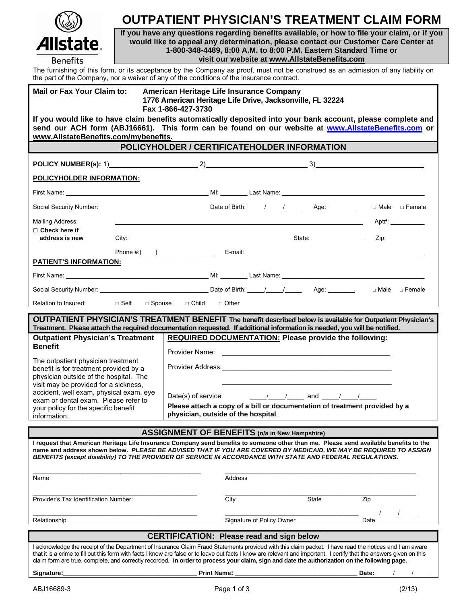| $(\mathbb{Q})$  |
|-----------------|
| Allstate        |
| <b>Benefits</b> |

## **OUTPATIENT PHYSICIAN'S TREATMENT CLAIM FORM**

**If you have any questions regarding benefits available, or how to file your claim, or if you would like to appeal any determination, please contact our Customer Care Center at 1-800-348-4489, 8:00 A.M. to 8:00 P.M. Eastern Standard Time or visit our website at www.AllstateBenefits.com**

The furnishing of this form, or its acceptance by the Company as proof, must not be construed as an admission of any liability on the part of the Company, nor a waiver of any of the conditions of the insurance contract.

| the part of the company, nor a waiver or any or the conditions or the msulance contract.                                                                                                                                                                                                                                     |                                                                                                                             |                                                                                                                   |                           |       |       |           |  |  |  |  |
|------------------------------------------------------------------------------------------------------------------------------------------------------------------------------------------------------------------------------------------------------------------------------------------------------------------------------|-----------------------------------------------------------------------------------------------------------------------------|-------------------------------------------------------------------------------------------------------------------|---------------------------|-------|-------|-----------|--|--|--|--|
| <b>Mail or Fax Your Claim to:</b>                                                                                                                                                                                                                                                                                            | American Heritage Life Insurance Company<br>1776 American Heritage Life Drive, Jacksonville, FL 32224<br>Fax 1-866-427-3730 |                                                                                                                   |                           |       |       |           |  |  |  |  |
| If you would like to have claim benefits automatically deposited into your bank account, please complete and<br>send our ACH form (ABJ16661). This form can be found on our website at www.AllstateBenefits.com or<br>www.AllstateBenefits.com/mybenefits.                                                                   |                                                                                                                             |                                                                                                                   |                           |       |       |           |  |  |  |  |
| POLICYHOLDER / CERTIFICATEHOLDER INFORMATION                                                                                                                                                                                                                                                                                 |                                                                                                                             |                                                                                                                   |                           |       |       |           |  |  |  |  |
| POLICY NUMBER(s): 1) 2) 22 3 3                                                                                                                                                                                                                                                                                               |                                                                                                                             |                                                                                                                   |                           |       |       |           |  |  |  |  |
| POLICYHOLDER INFORMATION:                                                                                                                                                                                                                                                                                                    |                                                                                                                             |                                                                                                                   |                           |       |       |           |  |  |  |  |
|                                                                                                                                                                                                                                                                                                                              |                                                                                                                             |                                                                                                                   |                           |       |       |           |  |  |  |  |
|                                                                                                                                                                                                                                                                                                                              |                                                                                                                             |                                                                                                                   |                           |       |       |           |  |  |  |  |
| Mailing Address:                                                                                                                                                                                                                                                                                                             |                                                                                                                             |                                                                                                                   |                           |       |       | $Apt\#$ : |  |  |  |  |
| $\Box$ Check here if<br>address is new                                                                                                                                                                                                                                                                                       |                                                                                                                             |                                                                                                                   |                           |       |       | Zip:      |  |  |  |  |
|                                                                                                                                                                                                                                                                                                                              |                                                                                                                             |                                                                                                                   |                           |       |       |           |  |  |  |  |
| PATIENT'S INFORMATION:                                                                                                                                                                                                                                                                                                       |                                                                                                                             |                                                                                                                   |                           |       |       |           |  |  |  |  |
|                                                                                                                                                                                                                                                                                                                              |                                                                                                                             |                                                                                                                   |                           |       |       |           |  |  |  |  |
|                                                                                                                                                                                                                                                                                                                              |                                                                                                                             |                                                                                                                   |                           |       |       |           |  |  |  |  |
| Relation to Insured: $\Box$ Self $\Box$ Spouse $\Box$ Child $\Box$ Other                                                                                                                                                                                                                                                     |                                                                                                                             |                                                                                                                   |                           |       |       |           |  |  |  |  |
| OUTPATIENT PHYSICIAN'S TREATMENT BENEFIT The benefit described below is available for Outpatient Physician's                                                                                                                                                                                                                 |                                                                                                                             |                                                                                                                   |                           |       |       |           |  |  |  |  |
| Treatment. Please attach the required documentation requested. If additional information is needed, you will be notified.<br><b>Outpatient Physician's Treatment</b>                                                                                                                                                         |                                                                                                                             | REQUIRED DOCUMENTATION: Please provide the following:                                                             |                           |       |       |           |  |  |  |  |
| <b>Benefit</b><br>The outpatient physician treatment<br>benefit is for treatment provided by a<br>physician outside of the hospital. The<br>visit may be provided for a sickness,<br>accident, well exam, physical exam, eye<br>exam or dental exam. Please refer to<br>your policy for the specific benefit<br>information. |                                                                                                                             |                                                                                                                   |                           |       |       |           |  |  |  |  |
|                                                                                                                                                                                                                                                                                                                              |                                                                                                                             |                                                                                                                   |                           |       |       |           |  |  |  |  |
|                                                                                                                                                                                                                                                                                                                              |                                                                                                                             |                                                                                                                   |                           |       |       |           |  |  |  |  |
|                                                                                                                                                                                                                                                                                                                              |                                                                                                                             |                                                                                                                   |                           |       |       |           |  |  |  |  |
|                                                                                                                                                                                                                                                                                                                              |                                                                                                                             | Date(s) of service: $\frac{1}{\sqrt{1-\frac{1}{2}}}$ and $\frac{1}{\sqrt{1-\frac{1}{2}}}$                         |                           |       |       |           |  |  |  |  |
|                                                                                                                                                                                                                                                                                                                              |                                                                                                                             | Please attach a copy of a bill or documentation of treatment provided by a<br>physician, outside of the hospital. |                           |       |       |           |  |  |  |  |
|                                                                                                                                                                                                                                                                                                                              |                                                                                                                             | <b>ASSIGNMENT OF BENEFITS (n/a in New Hampshire)</b>                                                              |                           |       |       |           |  |  |  |  |
| I request that American Heritage Life Insurance Company send benefits to someone other than me. Please send available benefits to the                                                                                                                                                                                        |                                                                                                                             |                                                                                                                   |                           |       |       |           |  |  |  |  |
| name and address shown below. PLEASE BE ADVISED THAT IF YOU ARE COVERED BY MEDICAID, WE MAY BE REQUIRED TO ASSIGN<br>BENEFITS (except disability) TO THE PROVIDER OF SERVICE IN ACCORDANCE WITH STATE AND FEDERAL REGULATIONS.                                                                                               |                                                                                                                             |                                                                                                                   |                           |       |       |           |  |  |  |  |
|                                                                                                                                                                                                                                                                                                                              |                                                                                                                             |                                                                                                                   |                           |       |       |           |  |  |  |  |
| Name                                                                                                                                                                                                                                                                                                                         |                                                                                                                             | Address                                                                                                           |                           |       |       |           |  |  |  |  |
| Provider's Tax Identification Number:                                                                                                                                                                                                                                                                                        |                                                                                                                             | City                                                                                                              |                           | State | Zip   |           |  |  |  |  |
| Relationship                                                                                                                                                                                                                                                                                                                 |                                                                                                                             |                                                                                                                   | Signature of Policy Owner |       | Date  |           |  |  |  |  |
|                                                                                                                                                                                                                                                                                                                              |                                                                                                                             |                                                                                                                   |                           |       |       |           |  |  |  |  |
| <b>CERTIFICATION: Please read and sign below</b><br>I acknowledge the receipt of the Department of Insurance Claim Fraud Statements provided with this claim packet. I have read the notices and I am aware                                                                                                                  |                                                                                                                             |                                                                                                                   |                           |       |       |           |  |  |  |  |
| that it is a crime to fill out this form with facts I know are false or to leave out facts I know are relevant and important. I certify that the answers given on this<br>claim form are true, complete, and correctly recorded. In order to process your claim, sign and date the authorization on the following page.      |                                                                                                                             |                                                                                                                   |                           |       |       |           |  |  |  |  |
| Signature:                                                                                                                                                                                                                                                                                                                   |                                                                                                                             | <b>Print Name:</b>                                                                                                |                           |       | Date: |           |  |  |  |  |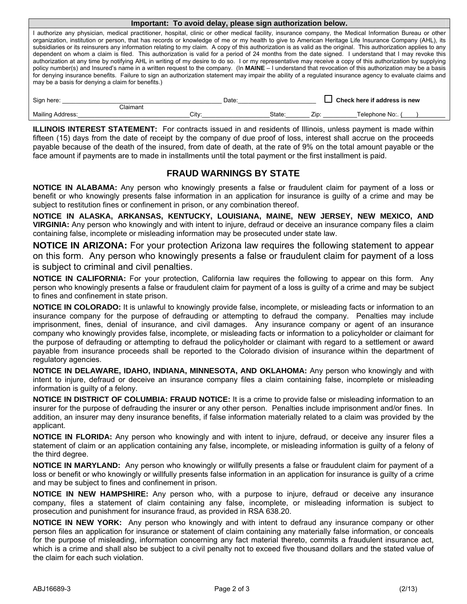| Important: To avoid delay, please sign authorization below.                                                                                                                                                                                                                                                                                                                                                                                                                                                                                                                                                                                                                                                                                                                                                                                                                                                                                                                                                                                                                                                                                                                        |       |        |                                     |                 |  |  |  |  |  |  |
|------------------------------------------------------------------------------------------------------------------------------------------------------------------------------------------------------------------------------------------------------------------------------------------------------------------------------------------------------------------------------------------------------------------------------------------------------------------------------------------------------------------------------------------------------------------------------------------------------------------------------------------------------------------------------------------------------------------------------------------------------------------------------------------------------------------------------------------------------------------------------------------------------------------------------------------------------------------------------------------------------------------------------------------------------------------------------------------------------------------------------------------------------------------------------------|-------|--------|-------------------------------------|-----------------|--|--|--|--|--|--|
| I authorize any physician, medical practitioner, hospital, clinic or other medical facility, insurance company, the Medical Information Bureau or other<br>organization, institution or person, that has records or knowledge of me or my health to give to American Heritage Life Insurance Company (AHL), its<br>subsidiaries or its reinsurers any information relating to my claim. A copy of this authorization is as valid as the original. This authorization applies to any<br>dependent on whom a claim is filed. This authorization is valid for a period of 24 months from the date signed. I understand that I may revoke this<br>authorization at any time by notifying AHL in writing of my desire to do so. I or my representative may receive a copy of this authorization by supplying<br>policy number(s) and Insured's name in a written request to the company. (In MAINE - I understand that revocation of this authorization may be a basis<br>for denying insurance benefits. Failure to sign an authorization statement may impair the ability of a regulated insurance agency to evaluate claims and<br>may be a basis for denying a claim for benefits.) |       |        |                                     |                 |  |  |  |  |  |  |
| Sign here:                                                                                                                                                                                                                                                                                                                                                                                                                                                                                                                                                                                                                                                                                                                                                                                                                                                                                                                                                                                                                                                                                                                                                                         | Date: |        | $\Box$ Check here if address is new |                 |  |  |  |  |  |  |
| Claimant                                                                                                                                                                                                                                                                                                                                                                                                                                                                                                                                                                                                                                                                                                                                                                                                                                                                                                                                                                                                                                                                                                                                                                           |       |        |                                     |                 |  |  |  |  |  |  |
| <b>Mailing Address:</b>                                                                                                                                                                                                                                                                                                                                                                                                                                                                                                                                                                                                                                                                                                                                                                                                                                                                                                                                                                                                                                                                                                                                                            | Citv: | State: | Zip:                                | Telephone No: ( |  |  |  |  |  |  |

**ILLINOIS INTEREST STATEMENT:** For contracts issued in and residents of Illinois, unless payment is made within fifteen (15) days from the date of receipt by the company of due proof of loss, interest shall accrue on the proceeds payable because of the death of the insured, from date of death, at the rate of 9% on the total amount payable or the face amount if payments are to made in installments until the total payment or the first installment is paid.

## **FRAUD WARNINGS BY STATE**

**NOTICE IN ALABAMA:** Any person who knowingly presents a false or fraudulent claim for payment of a loss or benefit or who knowingly presents false information in an application for insurance is guilty of a crime and may be subject to restitution fines or confinement in prison, or any combination thereof.

**NOTICE IN ALASKA, ARKANSAS, KENTUCKY, LOUISIANA, MAINE, NEW JERSEY, NEW MEXICO, AND VIRGINIA:** Any person who knowingly and with intent to injure, defraud or deceive an insurance company files a claim containing false, incomplete or misleading information may be prosecuted under state law.

**NOTICE IN ARIZONA:** For your protection Arizona law requires the following statement to appear on this form. Any person who knowingly presents a false or fraudulent claim for payment of a loss is subject to criminal and civil penalties.

**NOTICE IN CALIFORNIA:** For your protection, California law requires the following to appear on this form. Any person who knowingly presents a false or fraudulent claim for payment of a loss is guilty of a crime and may be subject to fines and confinement in state prison.

**NOTICE IN COLORADO:** It is unlawful to knowingly provide false, incomplete, or misleading facts or information to an insurance company for the purpose of defrauding or attempting to defraud the company. Penalties may include imprisonment, fines, denial of insurance, and civil damages. Any insurance company or agent of an insurance company who knowingly provides false, incomplete, or misleading facts or information to a policyholder or claimant for the purpose of defrauding or attempting to defraud the policyholder or claimant with regard to a settlement or award payable from insurance proceeds shall be reported to the Colorado division of insurance within the department of regulatory agencies.

**NOTICE IN DELAWARE, IDAHO, INDIANA, MINNESOTA, AND OKLAHOMA:** Any person who knowingly and with intent to injure, defraud or deceive an insurance company files a claim containing false, incomplete or misleading information is guilty of a felony.

**NOTICE IN DISTRICT OF COLUMBIA: FRAUD NOTICE:** It is a crime to provide false or misleading information to an insurer for the purpose of defrauding the insurer or any other person. Penalties include imprisonment and/or fines. In addition, an insurer may deny insurance benefits, if false information materially related to a claim was provided by the applicant.

**NOTICE IN FLORIDA:** Any person who knowingly and with intent to injure, defraud, or deceive any insurer files a statement of claim or an application containing any false, incomplete, or misleading information is guilty of a felony of the third degree.

**NOTICE IN MARYLAND:** Any person who knowingly or willfully presents a false or fraudulent claim for payment of a loss or benefit or who knowingly or willfully presents false information in an application for insurance is guilty of a crime and may be subject to fines and confinement in prison.

**NOTICE IN NEW HAMPSHIRE:** Any person who, with a purpose to injure, defraud or deceive any insurance company, files a statement of claim containing any false, incomplete, or misleading information is subject to prosecution and punishment for insurance fraud, as provided in RSA 638.20.

**NOTICE IN NEW YORK:** Any person who knowingly and with intent to defraud any insurance company or other person files an application for insurance or statement of claim containing any materially false information, or conceals for the purpose of misleading, information concerning any fact material thereto, commits a fraudulent insurance act, which is a crime and shall also be subject to a civil penalty not to exceed five thousand dollars and the stated value of the claim for each such violation.